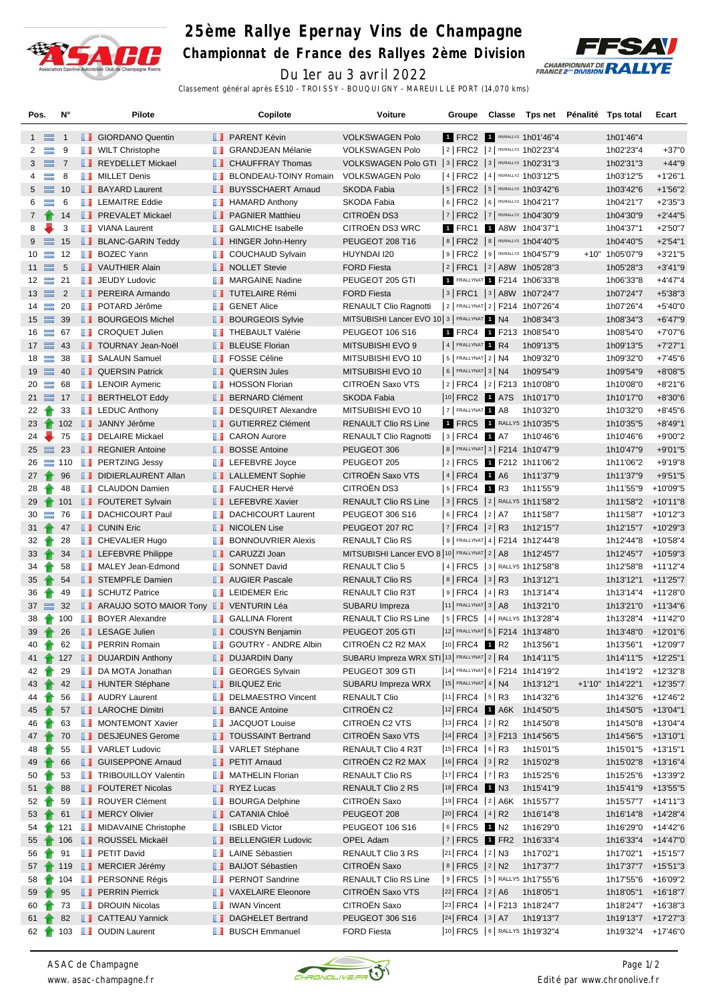

## **25ème Rallye Epernay Vins de Champagne**

**Championnat de France des Rallyes 2ème Division**



Du 1er au 3 avril 2022 Classement général après ES10 - TROISSY - BOUQUIGNY - MAREUIL LE PORT (14,070 kms)

| Pos.             |                | N°              |                   | Pilote                                                |    | Copilote                                  | <b>Voiture</b>                                           | Groupe                                        |  | Classe Tps net Pénalité Tps total        |                                 | Ecart       |
|------------------|----------------|-----------------|-------------------|-------------------------------------------------------|----|-------------------------------------------|----------------------------------------------------------|-----------------------------------------------|--|------------------------------------------|---------------------------------|-------------|
|                  | $1 \equiv$     | $\overline{1}$  |                   | <b>B</b> GIORDANO Quentin                             |    | <b>B</b> PARENT Kévin                     | <b>VOLKSWAGEN Polo</b>                                   |                                               |  | 1 FRC2 1 R5/RALLY2 1h01'46"4             | 1h01'46"4                       |             |
| $\mathbf{2}$     | $\equiv$       | 9               |                   | <b>WILT Christophe</b>                                |    | <b>BE GRANDJEAN Mélanie</b>               | <b>VOLKSWAGEN Polo</b>                                   |                                               |  | 2   FRC2   2   R5/RALLY2 1h02'23"4       | 1h02'23"4                       | $+37"0$     |
|                  | $3 \equiv$     | $\overline{7}$  |                   | REYDELLET Mickael                                     |    | <b>CHAUFFRAY Thomas</b>                   | VOLKSWAGEN Polo GTI   3   FRC2   3   R5/RALLY2 1h02'31"3 |                                               |  |                                          | 1h02'31"3                       | $+44"9$     |
| 4                | $\equiv$       | 8               |                   | <b>NILLET</b> Denis                                   |    | <b>BLONDEAU-TOINY Romain</b>              | <b>VOLKSWAGEN Polo</b>                                   |                                               |  | 4   FRC2   4   R5/RALLY2 1h03'12"5       | 1h03'12"5                       | $+1'26''1$  |
|                  | $5 \equiv$     | 10              |                   | <b>BAYARD Laurent</b>                                 |    | <b>BUYSSCHAERT Arnaud</b>                 | <b>SKODA Fabia</b>                                       |                                               |  | 5   FRC2   5   RS/RALLY2 1h03'42"6       | 1h03'42"6                       | $+1'56''2$  |
| 6                | $\equiv$       | 6               |                   | <b>LEMAITRE Eddie</b>                                 | ш  | <b>HAMARD Anthony</b>                     | SKODA Fabia                                              |                                               |  | 6   FRC2   6   R5/RALLY2 1h04'21"7       | 1h04'21"7                       | $+2'35''3$  |
| $7\overline{ }$  | 令              | 14              |                   | <b>FREVALET Mickael</b>                               |    | <b>F</b> PAGNIER Matthieu                 | CITROËN DS3                                              |                                               |  | 7   FRC2   7   R5/RALLY2 1h04'30"9       | 1h04'30"9                       | $+2'44''5$  |
| 8                |                | 3               |                   | <b>T</b> VIANA Laurent                                | m  | <b>GALMICHE Isabelle</b>                  | CITROËN DS3 WRC                                          |                                               |  | 1 FRC1 1 A8W 1h04'37"1                   | 1h04'37"1                       | $+2'50''7$  |
| $9 \equiv$       |                | 15              |                   | <b>BLANC-GARIN Teddy</b>                              |    | <b>HINGER John-Henry</b>                  | PEUGEOT 208 T16                                          |                                               |  | 8   FRC2   8   R5/RALLY2 1h04'40"5       | 1h04'40"5                       | $+2'54"1$   |
| $10 =$           |                | 12              |                   | <b>BOZEC Yann</b>                                     |    | COUCHAUD Sylvain                          | HUYNDAI I20                                              |                                               |  | 9 FRC2 9 R5/RALLY2 1h04'57"9             | +10" 1h05'07"9                  | $+3'21"5$   |
| $11 \equiv$      |                | 5               |                   | <b>I</b> VAUTHIER Alain                               |    | NOLLET Stevie                             | <b>FORD Fiesta</b>                                       |                                               |  | 2   FRC1   2   A8W 1h05'28"3             | 1h05'28"3                       | $+3'41''9$  |
| $12 \equiv$      |                | 21              | <b>The Second</b> | <b>JEUDY Ludovic</b>                                  | ш  | <b>MARGAINE Nadine</b>                    | PEUGEOT 205 GTI                                          |                                               |  | 1 FRALLYNAT 1 F214 1h06'33"8             | 1h06'33"8                       | $+4'47''4$  |
| $13 \equiv 2$    |                |                 |                   | <b>PEREIRA Armando</b>                                |    | <b>TUTELAIRE Rémi</b>                     | <b>FORD Fiesta</b>                                       |                                               |  | 3   FRC1   3   A8W 1h07'24"7             | 1h07'24"7                       | $+5'38"3$   |
| $14 \equiv$      |                | 20              |                   | <b>POTARD Jérôme</b>                                  | ш  | <b>GENET Alice</b>                        | <b>RENAULT Clio Ragnotti</b>                             |                                               |  | 2 FRALLYNAT 2 F214 1h07'26"4             | 1h07'26"4                       | +5'40"0     |
| $15 \equiv$      |                | 39              |                   | <b>BOURGEOIS Michel</b>                               |    | <b>BOURGEOIS Sylvie</b>                   | MITSUBISHI Lancer EVO 10 3   FRALLYNAT 1 N4              |                                               |  | 1h08'34"3                                | 1h08'34"3                       | $+6'47''9$  |
| $16 \equiv 67$   |                |                 |                   | <b>CROQUET Julien</b>                                 |    | <b>THEBAULT Valérie</b>                   | <b>PEUGEOT 106 S16</b>                                   |                                               |  | 1 FRC4 1 F213 1h08'54"0                  | 1h08'54"0                       | +7'07"6     |
| $17 \equiv 43$   |                |                 |                   | <b>T</b> TOURNAY Jean-Noël                            |    | <b>BLEUSE Florian</b>                     | MITSUBISHI EVO 9                                         | 4 FRALLYNAT 1 R4                              |  | 1h09'13"5                                | 1h09'13"5                       | $+7'27"1$   |
| $18 \equiv$      |                | 38              | ш                 | <b>SALAUN Samuel</b>                                  | ш  | <b>FOSSE Céline</b>                       | MITSUBISHI EVO 10                                        | $5$ FRALLYNAT $2$ N4                          |  | 1h09'32"0                                | 1h09'32"0                       | $+7'45''6$  |
| $19 \equiv 40$   |                |                 |                   | <b>QUERSIN Patrick</b>                                |    | <b>QUERSIN Jules</b>                      | MITSUBISHI EVO 10                                        | $6$ FRALLYNAT 3 N4                            |  | 1h09'54"9                                | 1h09'54"9                       | +8'08"5     |
| $20 =$           |                | 68              |                   | <b>EXAMPLE LENOIR Aymeric</b>                         | ш  | <b>HOSSON Florian</b>                     | CITROËN Saxo VTS                                         |                                               |  | $ 2 $ FRC4 $ 2 $ F213 1h10'08"0          | 1h10'08"0                       | +8'21"6     |
| $21 \equiv 17$   |                |                 |                   | <b>BERTHELOT Eddy</b>                                 |    | <b>BERNARD Clément</b>                    | SKODA Fabia                                              |                                               |  | 10 FRC2 1 A7S 1h10'17"0                  | 1h10'17"0                       | +8'30"6     |
| $22 \rightarrow$ |                | 33              |                   | <b>EDUC</b> Anthony                                   |    | DESQUIRET Alexandre                       | MITSUBISHI EVO 10                                        | 7 FRALLYNAT 1 A8                              |  | 1h10'32"0                                | 1h10'32"0                       | $+8'45"6$   |
| $23 \rightarrow$ |                |                 |                   | 102 JANNY Jérôme                                      |    | <b>GUTIERREZ Clément</b>                  | <b>RENAULT Clio RS Line</b>                              |                                               |  | 1 FRC5 1 RALLY5 1h10'35"5                | 1h10'35"5                       | $+8'49"1$   |
| 24               |                | 75              | ш                 | <b>DELAIRE Mickael</b>                                | ш  | <b>CARON Aurore</b>                       | <b>RENAULT Clio Ragnotti</b>                             | $ 3 $ FRC4 1 A7                               |  | 1h10'46"6                                | 1h10'46"6                       | +9'00"2     |
| $25 \equiv$      |                | 23              |                   | REGNIER Antoine                                       |    | <b>BOSSE Antoine</b>                      | PEUGEOT 306                                              |                                               |  | 8   FRALLYNAT 3   F214 1h10'47"9         | 1h10'47"9                       | $+9'01"5$   |
|                  |                | $26 \equiv 110$ |                   | <b>PERTZING Jessy</b>                                 | m  | LEFEBVRE Joyce                            | PEUGEOT 205                                              |                                               |  | 2 FRC5 1 F212 1h11'06"2                  | 1h11'06"2                       | +9'19"8     |
| $27 +$           |                | 96              |                   | DIDIERLAURENT Allan                                   |    | <b>LALLEMENT Sophie</b>                   | <b>CITROEN Saxo VTS</b>                                  | 4 FRC4 1 A6                                   |  | 1h11'37"9                                | 1h11'37"9                       | $+9'51"5$   |
| $28 \rightarrow$ |                | 48              |                   | <b>T</b> CLAUDON Damien                               |    | <b>FAUCHER Hervé</b>                      | CITROËN DS3                                              | $ 5 $ FRC4 1 R3                               |  | 1h11'55"9                                | 1h11'55"9                       | +10'09"5    |
| 29               |                | 101             |                   | <b>FOUTERET Sylvain</b>                               |    | <b>LEFEBVRE Xavier</b>                    | <b>RENAULT Clio RS Line</b>                              |                                               |  | 3   FRC5   2   RALLY5 1h11'58"2          | 1h11'58"2                       | +10'11"8    |
| $30 =$           |                | 76              |                   | <b>DACHICOURT Paul</b>                                |    | DACHICOURT Laurent                        | PEUGEOT 306 S16                                          | $ 6 $ FRC4 $ 2 $ A7                           |  | 1h11'58"7                                | 1h11'58"7                       | $+10'12"3$  |
| $31 +$           |                | 47              |                   | <b>CUNIN Eric</b>                                     |    | NICOLEN Lise                              | PEUGEOT 207 RC                                           | $ 7 $ FRC4 $ 2 $ R3                           |  | 1h12'15"7                                | 1h12'15"7                       | $+10'29"3$  |
| $32 \rightarrow$ |                | 28              |                   | <b>T</b> CHEVALIER Hugo                               | ш  | <b>BONNOUVRIER Alexis</b>                 | <b>RENAULT Clio RS</b>                                   |                                               |  | 9   FRALLYNAT 4   F214 1h12'44"8         | 1h12'44"8                       | +10'58"4    |
| $33 +$           |                | 34              |                   | <b>LEFEBVRE Philippe</b>                              |    | CARUZZI Joan                              | MITSUBISHI Lancer EVO 8 10 FRALLYNAT 2   A8              |                                               |  | 1h12'45"7                                | 1h12'45"7 +10'59"3              |             |
| 34               |                | 58              |                   | MALEY Jean-Edmond                                     |    | <b>SONNET David</b>                       | <b>RENAULT Clio 5</b>                                    |                                               |  | 4   FRC5   3   RALLY5 1h12'58"8          | 1h12'58"8                       | $+11'12''4$ |
| 35               |                | 54              |                   | STEMPFLE Damien                                       |    | <b>AUGIER Pascale</b>                     | RENAULT Clio RS                                          | $ 8 $ FRC4 $ 3 $ R3                           |  | 1h13'12"1                                | 1h13'12"1                       | $+11'25"7$  |
| 36               |                | 49              |                   | <b>SCHUTZ Patrice</b>                                 |    | <b>THE LEIDEMER Eric</b>                  | RENAULT Clio R3T                                         | $ 9 $ FRC4 $ 4 $ R3                           |  | 1h13'14"4                                | 1h13'14"4                       | +11'28"0    |
| $37 \equiv$      |                | 32              |                   | <b>T</b> ARAUJO SOTO MAIOR Tony <b>T</b> VENTURIN Léa |    |                                           | SUBARU Impreza                                           | $ 11 $ FRALLYNAT 3   A8                       |  | 1h13'21"0                                | 1h13'21"0                       | +11'34"6    |
| 38               |                | 100             |                   | <b>BOYER Alexandre</b>                                |    | <b>GALLINA Florent</b>                    | <b>RENAULT Clio RS Line</b>                              |                                               |  | 5   FRC5   4   RALLY5 1h13'28"4          | 1h13'28"4                       | $+11'42"0$  |
| $39 +$           |                | 26              |                   | <b>Example 1</b> LESAGE Julien                        |    | COUSYN Benjamin                           | PEUGEOT 205 GTI                                          |                                               |  | 12 FRALLYNAT 5   F214 1h13'48"0          | 1h13'48"0 +12'01"6              |             |
| 40               | $\blacksquare$ | 62              |                   | <b>PERRIN Romain</b>                                  |    | <b>GOUTRY - ANDRE Albin</b>               | CITROËN C2 R2 MAX                                        | $ 10 $ FRC4 1 R2                              |  | 1h13'56"1                                | 1h13'56"1                       | +12'09"7    |
| $41 \rightarrow$ |                |                 |                   | 127 <b>DUJARDIN Anthony</b>                           |    | <b>DUJARDIN Dany</b>                      | SUBARU Impreza WRX STI 13 FRALLYNAT 2   R4               |                                               |  | 1h14'11"5                                | $1h14'11''5 + 12'25''1$         |             |
| 42               |                | 29              |                   | DA MOTA Jonathan                                      |    | GEORGES Sylvain                           | PEUGEOT 309 GTI                                          |                                               |  | 14 FRALLYNAT 6   F214 1h14'19"2          | 1h14'19"2 +12'32"8              |             |
| 43               |                | 42              |                   | <b>HUNTER Stéphane</b>                                |    | <b>BILQUEZ Eric</b><br>DELMAESTRO Vincent | SUBARU Impreza WRX                                       | $15$ FRALLYNAT 4   N4<br>$ 11 $ FRC4 $ 5 $ R3 |  | 1h13'12"1                                | +1'10" 1h14'22"1                | +12'35"7    |
| 44<br>45         |                | 56<br>57        |                   | <b>NET</b> AUDRY Laurent<br><b>LAROCHE Dimitri</b>    |    | <b>BANCE Antoine</b>                      | <b>RENAULT Clio</b><br>CITROËN C2                        |                                               |  | 1h14'32"6<br> 12  FRC4     A6K 1h14'50"5 | 1h14'32"6<br>1h14'50"5 +13'04"1 | +12'46"2    |
| 46               |                | 63              |                   | <b>NONTEMONT Xavier</b>                               |    | <b>JACQUOT Louise</b>                     | CITROËN C2 VTS                                           | 13 FRC4 2 R2                                  |  | 1h14'50"8                                | 1h14'50"8 +13'04"4              |             |
| 47               |                | 70              |                   | DESJEUNES Gerome                                      |    | <b>TOUSSAINT Bertrand</b>                 | CITROËN Saxo VTS                                         |                                               |  | 14  FRC4   3   F213 1h14'56"5            | 1h14'56"5 +13'10"1              |             |
| 48               |                | 55              |                   | <b>T</b> VARLET Ludovic                               |    | VARLET Stéphane                           | RENAULT Clio 4 R3T                                       | $ 15 $ FRC4 $ 6 $ R3                          |  | 1h15'01"5                                | 1h15'01"5 +13'15"1              |             |
| 49               |                | 66              |                   | <b>SUISEPPONE Arnaud</b>                              |    | <b>PETIT Arnaud</b>                       | CITROËN C2 R2 MAX                                        | $ 16 $ FRC4 $ 3 $ R2                          |  | 1h15'02"8                                | 1h15'02"8                       | +13'16"4    |
| 50               |                | 53              |                   | <b>TRIBOUILLOY Valentin</b>                           |    | MATHELIN Florian                          | <b>RENAULT Clio RS</b>                                   | $ 17 $ FRC4 $ 7 $ R3                          |  | 1h15'25"6                                | 1h15'25"6                       | +13'39"2    |
| 51 1             |                | 88              |                   | <b>FOUTERET Nicolas</b>                               |    | <b>RYEZ Lucas</b>                         | RENAULT Clio 2 RS                                        | 18 FRC4 1 N3                                  |  | 1h15'41"9                                | 1h15'41"9                       | +13'55"5    |
| 52               |                | 59              |                   | ROUYER Clément                                        |    | <b>BOURGA Delphine</b>                    | CITROEN Saxo                                             |                                               |  | 19 FRC4   2   A6K 1h15'57"7              | 1h15'57"7 +14'11"3              |             |
| 53               |                | 61              |                   | <b>NERCY Olivier</b>                                  |    | <b>CATANIA Chloé</b>                      | PEUGEOT 208                                              | $ 20 $ FRC4 $ 4 $ R2                          |  | 1h16'14"8                                | 1h16'14"8                       | +14'28"4    |
| 54               |                | 121             |                   | <b>NIDAVAINE Christophe</b>                           | ш  | <b>ISBLED Victor</b>                      | PEUGEOT 106 S16                                          | $ 6 $ FRC5 $\blacksquare$ N2                  |  | 1h16'29"0                                | 1h16'29"0                       | +14'42"6    |
| $55 \text{ T}$   |                | 106             |                   | ROUSSEL Mickaël                                       |    | <b>BELLENGIER Ludovic</b>                 | OPEL Adam                                                |                                               |  | 7  FRC5   FR2 1h16'33"4                  | 1h16'33"4                       | +14'47"0    |
| 56               |                | 91              |                   | <b>F</b> PETIT David                                  |    | <b>LAINE Sébastien</b>                    | RENAULT Clio 3 RS                                        | 21 FRC4 2 N3                                  |  | 1h17'02"1                                | 1h17'02"1                       | +15'15"7    |
| $57 \text{ T}$   |                |                 |                   | 119 <b>B</b> MERCIER Jérémy                           |    | <b>BAIJOT Sébastien</b>                   | <b>CITROEN Saxo</b>                                      | 8   FRC5   2   N2                             |  | 1h17'37"7                                | 1h17'37"7 +15'51"3              |             |
| 58               |                | 104             |                   | <b>FRESONNE Régis</b>                                 |    | <b>FRINOT Sandrine</b>                    | RENAULT Clio RS Line                                     |                                               |  | 9   FRC5   5   RALLY5 1h17'55"6          | 1h17'55"6                       | +16'09"2    |
| 59               |                | 95              |                   | <b>PERRIN Pierrick</b>                                |    | VAXELAIRE Eleonore                        | CITROËN Saxo VTS                                         | $ 22 $ FRC4 $ 2 $ A6                          |  | 1h18'05"1                                | 1h18'05"1                       | +16'18"7    |
| 60               |                | 73              |                   | <b>DROUIN Nicolas</b>                                 | H. | <b>IWAN Vincent</b>                       | CITROËN Saxo                                             |                                               |  | 23 FRC4   4   F213 1h18'24"7             | 1h18'24"7 +16'38"3              |             |
| 61 $\uparrow$    |                | 82              |                   | <b>CATTEAU Yannick</b>                                |    | DAGHELET Bertrand                         | PEUGEOT 306 S16                                          | $ 24 $ FRC4 $ 3 $ A7                          |  | 1h19'13"7                                | 1h19'13"7 +17'27"3              |             |
| 62 <sub>1</sub>  |                |                 |                   | 103 <b>D</b> OUDIN Laurent                            |    | <b>BUSCH Emmanuel</b>                     | <b>FORD Fiesta</b>                                       |                                               |  | 10 FRC5 6 RALLY5 1h19'32"4               | 1h19'32"4 +17'46"0              |             |